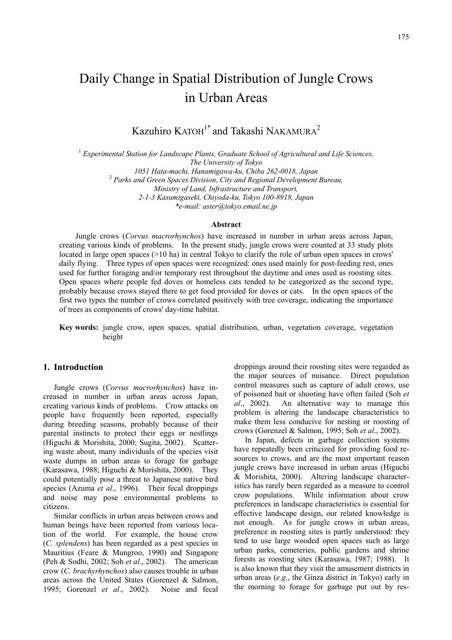# Daily Change in Spatial Distribution of Jungle Crows in Urban Areas

Kazuhiro  $KATOH<sup>1*</sup>$  and Takashi NAKAMURA<sup>2</sup>

<sup>1</sup> Experimental Station for Landscape Plants, Graduate School of Agricultural and Life Sciences, *The University of Tokyo 1051 Hata-machi, Hanamigawa-ku, Chiba 262-0018, Japan* <sup>2</sup>  *Parks and Green Spaces Division, City and Regional Development Bureau, Ministry of Land, Infrastructure and Transport, 2-1-3 Kasumigaseki, Chiyoda-ku, Tokyo 100-8918, Japan \*e-mail: aster@tokyo.email.ne.jp* 

**Abstract** 

Jungle crows (*Corvus macrorhynchos*) have increased in number in urban areas across Japan, creating various kinds of problems. In the present study, jungle crows were counted at 33 study plots located in large open spaces (>10 ha) in central Tokyo to clarify the role of urban open spaces in crows' daily flying. Three types of open spaces were recognized: ones used mainly for post-feeding rest, ones used for further foraging and/or temporary rest throughout the daytime and ones used as roosting sites. Open spaces where people fed doves or homeless cats tended to be categorized as the second type, probably because crows stayed there to get food provided for doves or cats. In the open spaces of the first two types the number of crows correlated positively with tree coverage, indicating the importance of trees as components of crows' day-time habitat.

**Key words:** jungle crow, open spaces, spatial distribution, urban, vegetation coverage, vegetation height

# **1. Introduction**

Jungle crows (*Corvus macrorhynchos*) have increased in number in urban areas across Japan, creating various kinds of problems. Crow attacks on people have frequently been reported, especially during breeding seasons, probably because of their parental instincts to protect their eggs or nestlings (Higuchi & Morishita, 2000; Sugita, 2002). Scattering waste about, many individuals of the species visit waste dumps in urban areas to forage for garbage (Karasawa, 1988; Higuchi & Morishita, 2000). They could potentially pose a threat to Japanese native bird species (Azuma *et al*., 1996). Their fecal droppings and noise may pose environmental problems to citizens.

Similar conflicts in urban areas between crows and human beings have been reported from various location of the world. For example, the house crow (*C. splendens*) has been regarded as a pest species in Mauritius (Feare & Mungroo, 1990) and Singapore (Peh & Sodhi, 2002; Soh *et al*., 2002). The american crow (*C. brachyrhynchos*) also causes trouble in urban areas across the United States (Gorenzel & Salmon, 1995; Gorenzel *et al*., 2002). Noise and fecal

droppings around their roosting sites were regarded as the major sources of nuisance. Direct population control measures such as capture of adult crows, use of poisoned bait or shooting have often failed (Soh *et al*., 2002). An alternative way to manage this problem is altering the landscape characteristics to make them less conducive for nesting or roosting of crows (Gorenzel & Salmon, 1995; Soh *et al*., 2002).

In Japan, defects in garbage collection systems have repeatedly been criticized for providing food resources to crows, and are the most important reason jungle crows have increased in urban areas (Higuchi & Morishita, 2000). Altering landscape characteristics has rarely been regarded as a measure to control crow populations. While information about crow preferences in landscape characteristics is essential for effective landscape design, our related knowledge is not enough. As for jungle crows in urban areas, preference in roosting sites is partly understood: they tend to use large wooded open spaces such as large urban parks, cemeteries, public gardens and shrine forests as roosting sites (Karasawa, 1987; 1988). It is also known that they visit the amusement districts in urban areas (*e.g*., the Ginza district in Tokyo) early in the morning to forage for garbage put out by res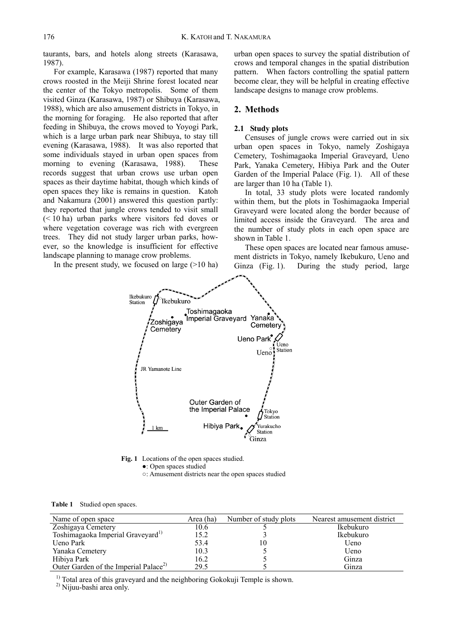taurants, bars, and hotels along streets (Karasawa, 1987).

For example, Karasawa (1987) reported that many crows roosted in the Meiji Shrine forest located near the center of the Tokyo metropolis. Some of them visited Ginza (Karasawa, 1987) or Shibuya (Karasawa, 1988), which are also amusement districts in Tokyo, in the morning for foraging. He also reported that after feeding in Shibuya, the crows moved to Yoyogi Park, which is a large urban park near Shibuya, to stay till evening (Karasawa, 1988). It was also reported that some individuals stayed in urban open spaces from morning to evening (Karasawa, 1988). These records suggest that urban crows use urban open spaces as their daytime habitat, though which kinds of open spaces they like is remains in question. Katoh and Nakamura (2001) answered this question partly: they reported that jungle crows tended to visit small (< 10 ha) urban parks where visitors fed doves or where vegetation coverage was rich with evergreen trees. They did not study larger urban parks, however, so the knowledge is insufficient for effective landscape planning to manage crow problems.

In the present study, we focused on large  $(>10$  ha)

urban open spaces to survey the spatial distribution of crows and temporal changes in the spatial distribution pattern. When factors controlling the spatial pattern become clear, they will be helpful in creating effective landscape designs to manage crow problems.

# **2. Methods**

# **2.1 Study plots**

Censuses of jungle crows were carried out in six urban open spaces in Tokyo, namely Zoshigaya Cemetery, Toshimagaoka Imperial Graveyard, Ueno Park, Yanaka Cemetery, Hibiya Park and the Outer Garden of the Imperial Palace (Fig. 1). All of these are larger than 10 ha (Table 1).

In total, 33 study plots were located randomly within them, but the plots in Toshimagaoka Imperial Graveyard were located along the border because of limited access inside the Graveyard. The area and the number of study plots in each open space are shown in Table 1.

These open spaces are located near famous amusement districts in Tokyo, namely Ikebukuro, Ueno and Ginza (Fig. 1). During the study period, large



**Fig. 1** Locations of the open spaces studied. ●: Open spaces studied

○: Amusement districts near the open spaces studied

**Table 1** Studied open spaces.

| Name of open space                                | Area (ha) | Number of study plots | Nearest amusement district |
|---------------------------------------------------|-----------|-----------------------|----------------------------|
| Zoshigaya Cemetery                                | 10.6      |                       | Ikebukuro                  |
| Toshimagaoka Imperial Graveyard <sup>1)</sup>     | 15.2      |                       | Ikebukuro                  |
| Ueno Park                                         | 53.4      | $\theta$              | Ueno                       |
| Yanaka Cemetery                                   | 10.3      |                       | Ueno                       |
| Hibiya Park                                       | 16.2      |                       | Ginza                      |
| Outer Garden of the Imperial Palace <sup>2)</sup> | 29.5      |                       | Ginza                      |

<sup>1)</sup> Total area of this graveyard and the neighboring Gokokuji Temple is shown.

2) Nijuu-bashi area only.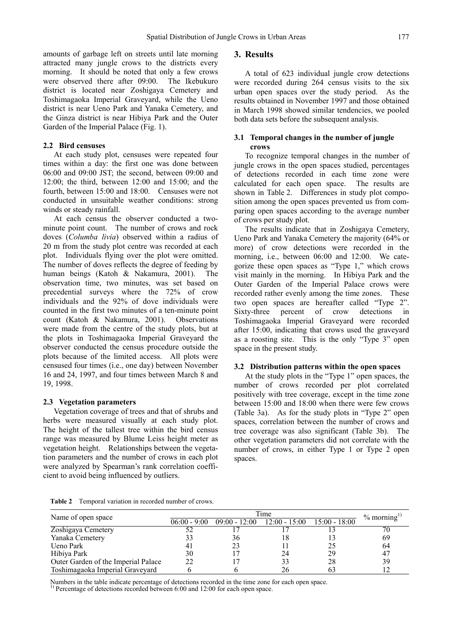amounts of garbage left on streets until late morning attracted many jungle crows to the districts every morning. It should be noted that only a few crows were observed there after 09:00. The Ikebukuro district is located near Zoshigaya Cemetery and Toshimagaoka Imperial Graveyard, while the Ueno district is near Ueno Park and Yanaka Cemetery, and the Ginza district is near Hibiya Park and the Outer Garden of the Imperial Palace (Fig. 1).

# **2.2 Bird censuses**

At each study plot, censuses were repeated four times within a day: the first one was done between 06:00 and 09:00 JST; the second, between 09:00 and 12:00; the third, between 12:00 and 15:00; and the fourth, between 15:00 and 18:00. Censuses were not conducted in unsuitable weather conditions: strong winds or steady rainfall.

At each census the observer conducted a twominute point count. The number of crows and rock doves (*Columba livia*) observed within a radius of 20 m from the study plot centre was recorded at each plot. Individuals flying over the plot were omitted. The number of doves reflects the degree of feeding by human beings (Katoh & Nakamura, 2001). The observation time, two minutes, was set based on precedential surveys where the 72% of crow individuals and the 92% of dove individuals were counted in the first two minutes of a ten-minute point count (Katoh & Nakamura, 2001). Observations were made from the centre of the study plots, but at the plots in Toshimagaoka Imperial Graveyard the observer conducted the census procedure outside the plots because of the limited access. All plots were censused four times (i.e., one day) between November 16 and 24, 1997, and four times between March 8 and 19, 1998.

# **2.3 Vegetation parameters**

Vegetation coverage of trees and that of shrubs and herbs were measured visually at each study plot. The height of the tallest tree within the bird census range was measured by Blume Leiss height meter as vegetation height. Relationships between the vegetation parameters and the number of crows in each plot were analyzed by Spearman's rank correlation coefficient to avoid being influenced by outliers.

# **3. Results**

A total of 623 individual jungle crow detections were recorded during 264 census visits to the six urban open spaces over the study period. As the results obtained in November 1997 and those obtained in March 1998 showed similar tendencies, we pooled both data sets before the subsequent analysis.

# **3.1 Temporal changes in the number of jungle crows**

To recognize temporal changes in the number of jungle crows in the open spaces studied, percentages of detections recorded in each time zone were calculated for each open space. The results are shown in Table 2. Differences in study plot composition among the open spaces prevented us from comparing open spaces according to the average number of crows per study plot.

The results indicate that in Zoshigaya Cemetery, Ueno Park and Yanaka Cemetery the majority (64% or more) of crow detections were recorded in the morning, i.e., between 06:00 and 12:00. We categorize these open spaces as "Type 1," which crows visit mainly in the morning. In Hibiya Park and the Outer Garden of the Imperial Palace crows were recorded rather evenly among the time zones. These two open spaces are hereafter called "Type 2". Sixty-three percent of crow detections in Toshimagaoka Imperial Graveyard were recorded after 15:00, indicating that crows used the graveyard as a roosting site. This is the only "Type 3" open space in the present study.

# **3.2 Distribution patterns within the open spaces**

At the study plots in the "Type 1" open spaces, the number of crows recorded per plot correlated positively with tree coverage, except in the time zone between 15:00 and 18:00 when there were few crows (Table 3a). As for the study plots in "Type 2" open spaces, correlation between the number of crows and tree coverage was also significant (Table 3b). The other vegetation parameters did not correlate with the number of crows, in either Type 1 or Type 2 open spaces.

**Table 2** Temporal variation in recorded number of crows.

|                                     | Time           |                 |                                 |    | $\%$ morning <sup>1)</sup> |
|-------------------------------------|----------------|-----------------|---------------------------------|----|----------------------------|
| Name of open space                  | $06:00 - 9:00$ | $09:00 - 12:00$ | $12:00 - 15:00$ $15:00 - 18:00$ |    |                            |
| Zoshigaya Cemetery                  |                |                 |                                 |    | 70                         |
| Yanaka Cemetery                     |                | 36              |                                 |    | 69                         |
| Ueno Park                           |                |                 |                                 |    | 64                         |
| Hibiya Park                         | 30             |                 | 24                              | 29 | 47                         |
| Outer Garden of the Imperial Palace | າາ             |                 |                                 | 28 | 39                         |
| Toshimagaoka Imperial Graveyard     |                |                 |                                 |    |                            |

Numbers in the table indicate percentage of detections recorded in the time zone for each open space.<br><sup>1)</sup> Percentage of detections recorded between 6:00 and 12:00 for each open space.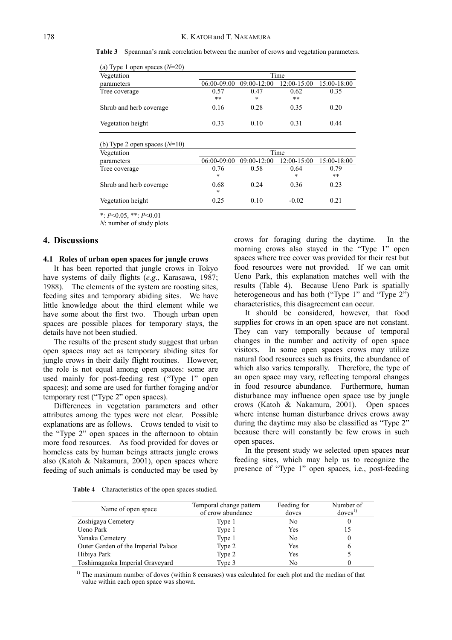**Table 3** Spearman's rank correlation between the number of crows and vegetation parameters.

| (a) Type T open spaces $(Y^2 - 20)$<br>Vegetation | Time          |                 |               |             |
|---------------------------------------------------|---------------|-----------------|---------------|-------------|
| parameters                                        | $06:00-09:00$ | $09:00 - 12:00$ | $12:00-15:00$ | 15:00-18:00 |
| Tree coverage                                     | 0.57<br>$**$  | 0.47<br>*       | 0.62<br>**    | 0.35        |
| Shrub and herb coverage                           | 0.16          | 0.28            | 0.35          | 0.20        |
| Vegetation height                                 | 0.33          | 0.10            | 0.31          | 0.44        |

 $(n)$  Type 1 open spaces  $(N-20)$ 

| (b) Type 2 open spaces $(N=10)$ |                |               |               |             |  |
|---------------------------------|----------------|---------------|---------------|-------------|--|
| Vegetation                      |                | Time          |               |             |  |
| parameters                      | 06:00-09:00    | $09:00-12:00$ | $12:00-15:00$ | 15:00-18:00 |  |
| Tree coverage                   | 0.76<br>$\ast$ | 0.58          | 0.64<br>*     | 0.79<br>**  |  |
| Shrub and herb coverage         | 0.68<br>$\ast$ | 0.24          | 0.36          | 0.23        |  |
| Vegetation height               | 0.25           | 0.10          | $-0.02$       | 0.21        |  |

\*: *P*<0.05, \*\*: *P*<0.01

*N*: number of study plots.

# **4. Discussions**

# **4.1 Roles of urban open spaces for jungle crows**

It has been reported that jungle crows in Tokyo have systems of daily flights (*e.g*., Karasawa, 1987; 1988). The elements of the system are roosting sites, feeding sites and temporary abiding sites. We have little knowledge about the third element while we have some about the first two. Though urban open spaces are possible places for temporary stays, the details have not been studied.

The results of the present study suggest that urban open spaces may act as temporary abiding sites for jungle crows in their daily flight routines. However, the role is not equal among open spaces: some are used mainly for post-feeding rest ("Type 1" open spaces); and some are used for further foraging and/or temporary rest ("Type 2" open spaces).

Differences in vegetation parameters and other attributes among the types were not clear. Possible explanations are as follows. Crows tended to visit to the "Type 2" open spaces in the afternoon to obtain more food resources. As food provided for doves or homeless cats by human beings attracts jungle crows also (Katoh & Nakamura, 2001), open spaces where feeding of such animals is conducted may be used by

crows for foraging during the daytime. In the morning crows also stayed in the "Type 1" open spaces where tree cover was provided for their rest but food resources were not provided. If we can omit Ueno Park, this explanation matches well with the results (Table 4). Because Ueno Park is spatially heterogeneous and has both ("Type 1" and "Type 2") characteristics, this disagreement can occur.

It should be considered, however, that food supplies for crows in an open space are not constant. They can vary temporally because of temporal changes in the number and activity of open space visitors. In some open spaces crows may utilize natural food resources such as fruits, the abundance of which also varies temporally. Therefore, the type of an open space may vary, reflecting temporal changes in food resource abundance. Furthermore, human disturbance may influence open space use by jungle crows (Katoh & Nakamura, 2001). Open spaces where intense human disturbance drives crows away during the daytime may also be classified as "Type 2" because there will constantly be few crows in such open spaces.

In the present study we selected open spaces near feeding sites, which may help us to recognize the presence of "Type 1" open spaces, i.e., post-feeding

**Table 4** Characteristics of the open spaces studied.

| Name of open space                  | Temporal change pattern<br>of crow abundance | Feeding for<br>doves | Number of<br>doves <sup>1</sup> |
|-------------------------------------|----------------------------------------------|----------------------|---------------------------------|
| Zoshigaya Cemetery                  | Type 1                                       | No                   |                                 |
| Ueno Park                           | Type 1                                       | Yes                  | 15                              |
| Yanaka Cemetery                     | Type 1                                       | No                   |                                 |
| Outer Garden of the Imperial Palace | Type 2                                       | Yes                  | 6                               |
| Hibiya Park                         | Type 2                                       | Yes                  |                                 |
| Toshimagaoka Imperial Graveyard     | Type 3                                       | No                   |                                 |

<sup>1)</sup> The maximum number of doves (within 8 censuses) was calculated for each plot and the median of that value within each open space was shown.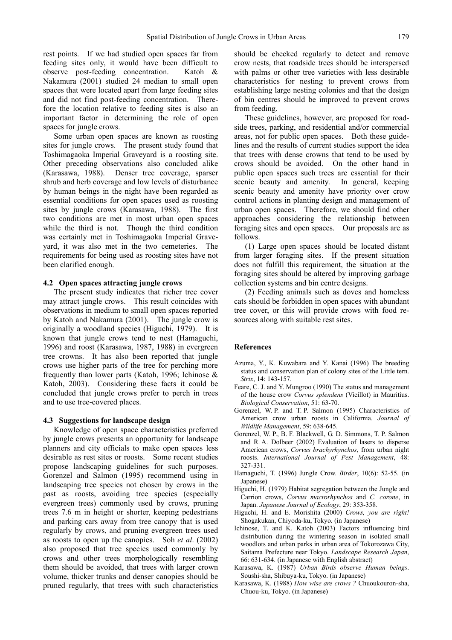rest points. If we had studied open spaces far from feeding sites only, it would have been difficult to observe post-feeding concentration. Katoh & Nakamura (2001) studied 24 median to small open spaces that were located apart from large feeding sites and did not find post-feeding concentration. Therefore the location relative to feeding sites is also an important factor in determining the role of open spaces for jungle crows.

Some urban open spaces are known as roosting sites for jungle crows. The present study found that Toshimagaoka Imperial Graveyard is a roosting site. Other preceding observations also concluded alike (Karasawa, 1988). Denser tree coverage, sparser shrub and herb coverage and low levels of disturbance by human beings in the night have been regarded as essential conditions for open spaces used as roosting sites by jungle crows (Karasawa, 1988). The first two conditions are met in most urban open spaces while the third is not. Though the third condition was certainly met in Toshimagaoka Imperial Graveyard, it was also met in the two cemeteries. The requirements for being used as roosting sites have not been clarified enough.

#### **4.2 Open spaces attracting jungle crows**

The present study indicates that richer tree cover may attract jungle crows. This result coincides with observations in medium to small open spaces reported by Katoh and Nakamura (2001). The jungle crow is originally a woodland species (Higuchi, 1979). It is known that jungle crows tend to nest (Hamaguchi, 1996) and roost (Karasawa, 1987, 1988) in evergreen tree crowns. It has also been reported that jungle crows use higher parts of the tree for perching more frequently than lower parts (Katoh, 1996; Ichinose & Katoh, 2003). Considering these facts it could be concluded that jungle crows prefer to perch in trees and to use tree-covered places.

#### **4.3 Suggestions for landscape design**

Knowledge of open space characteristics preferred by jungle crows presents an opportunity for landscape planners and city officials to make open spaces less desirable as rest sites or roosts. Some recent studies propose landscaping guidelines for such purposes. Gorenzel and Salmon (1995) recommend using in landscaping tree species not chosen by crows in the past as roosts, avoiding tree species (especially evergreen trees) commonly used by crows, pruning trees 7.6 m in height or shorter, keeping pedestrians and parking cars away from tree canopy that is used regularly by crows, and pruning evergreen trees used as roosts to open up the canopies. Soh *et al*. (2002) also proposed that tree species used commonly by crows and other trees morphologically resembling them should be avoided, that trees with larger crown volume, thicker trunks and denser canopies should be pruned regularly, that trees with such characteristics should be checked regularly to detect and remove crow nests, that roadside trees should be interspersed with palms or other tree varieties with less desirable characteristics for nesting to prevent crows from establishing large nesting colonies and that the design of bin centres should be improved to prevent crows from feeding.

These guidelines, however, are proposed for roadside trees, parking, and residential and/or commercial areas, not for public open spaces. Both these guidelines and the results of current studies support the idea that trees with dense crowns that tend to be used by crows should be avoided. On the other hand in public open spaces such trees are essential for their scenic beauty and amenity. In general, keeping scenic beauty and amenity have priority over crow control actions in planting design and management of urban open spaces. Therefore, we should find other approaches considering the relationship between foraging sites and open spaces. Our proposals are as follows.

(1) Large open spaces should be located distant from larger foraging sites. If the present situation does not fulfill this requirement, the situation at the foraging sites should be altered by improving garbage collection systems and bin centre designs.

(2) Feeding animals such as doves and homeless cats should be forbidden in open spaces with abundant tree cover, or this will provide crows with food resources along with suitable rest sites.

# **References**

- Azuma, Y., K. Kuwabara and Y. Kanai (1996) The breeding status and conservation plan of colony sites of the Little tern. *Strix*, 14: 143-157.
- Feare, C. J. and Y. Mungroo (1990) The status and management of the house crow *Corvus splendens* (Vieillot) in Mauritius. *Biological Conservation*, 51: 63-70.
- Gorenzel, W. P. and T. P. Salmon (1995) Characteristics of American crow urban roosts in California. *Journal of Wildlife Management*, 59: 638-645.
- Gorenzel, W. P., B. F. Blackwell, G. D. Simmons, T. P. Salmon and R. A. Dolbeer (2002) Evaluation of lasers to disperse American crows, *Corvus brachyrhynchos*, from urban night roosts. *International Journal of Pest Management*, 48: 327-331.
- Hamaguchi, T. (1996) Jungle Crow. *Birder*, 10(6): 52-55. (in Japanese)
- Higuchi, H. (1979) Habitat segregation between the Jungle and Carrion crows, *Corvus macrorhynchos* and *C. corone*, in Japan. *Japanese Journal of Ecology*, 29: 353-358.
- Higuchi, H. and E. Morishita (2000) *Crows, you are right!* Shogakukan, Chiyoda-ku, Tokyo. (in Japanese)
- Ichinose, T. and K. Katoh (2003) Factors influencing bird distribution during the wintering season in isolated small woodlots and urban parks in urban area of Tokorozawa City, Saitama Prefecture near Tokyo. *Landscape Research Japan*, 66: 631-634. (in Japanese with English abstract)
- Karasawa, K. (1987) *Urban Birds observe Human beings*. Soushi-sha, Shibuya-ku, Tokyo. (in Japanese)
- Karasawa, K. (1988) *How wise are crows ?* Chuoukouron-sha, Chuou-ku, Tokyo. (in Japanese)